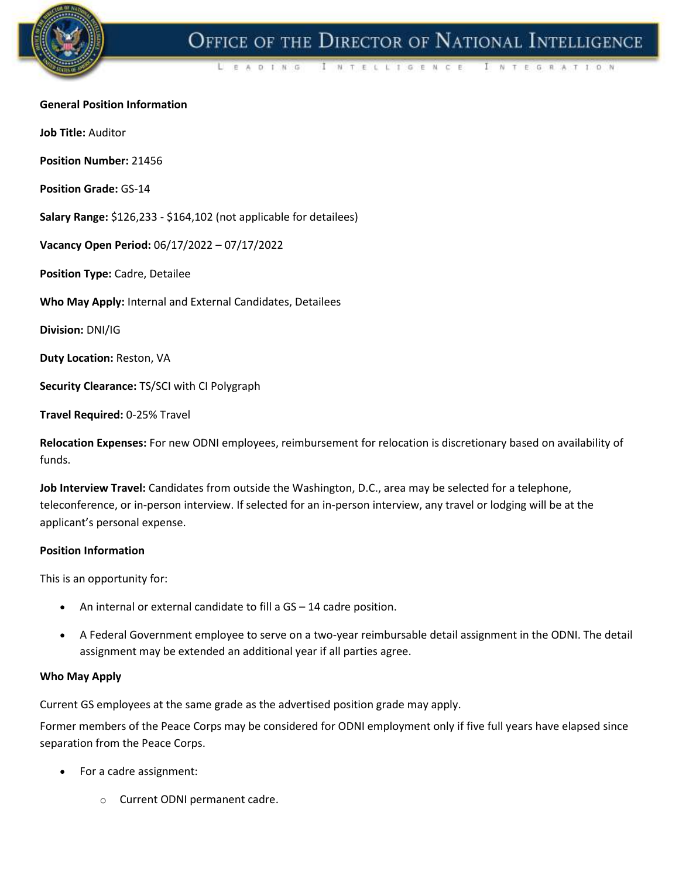

# OFFICE OF THE DIRECTOR OF NATIONAL INTELLIGENCE

A D T N G I NTELLIGENCE NTEGRATION

#### **General Position Information**

**Job Title:** Auditor

**Position Number:** 21456

**Position Grade:** GS-14

**Salary Range:** \$126,233 - \$164,102 (not applicable for detailees)

**Vacancy Open Period:** 06/17/2022 – 07/17/2022

**Position Type:** Cadre, Detailee

**Who May Apply:** Internal and External Candidates, Detailees

**Division:** DNI/IG

**Duty Location:** Reston, VA

**Security Clearance:** TS/SCI with CI Polygraph

**Travel Required:** 0-25% Travel

**Relocation Expenses:** For new ODNI employees, reimbursement for relocation is discretionary based on availability of funds.

**Job Interview Travel:** Candidates from outside the Washington, D.C., area may be selected for a telephone, teleconference, or in-person interview. If selected for an in-person interview, any travel or lodging will be at the applicant's personal expense.

#### **Position Information**

This is an opportunity for:

- An internal or external candidate to fill a GS 14 cadre position.
- A Federal Government employee to serve on a two-year reimbursable detail assignment in the ODNI. The detail assignment may be extended an additional year if all parties agree.

#### **Who May Apply**

Current GS employees at the same grade as the advertised position grade may apply.

Former members of the Peace Corps may be considered for ODNI employment only if five full years have elapsed since separation from the Peace Corps.

- For a cadre assignment:
	- o Current ODNI permanent cadre.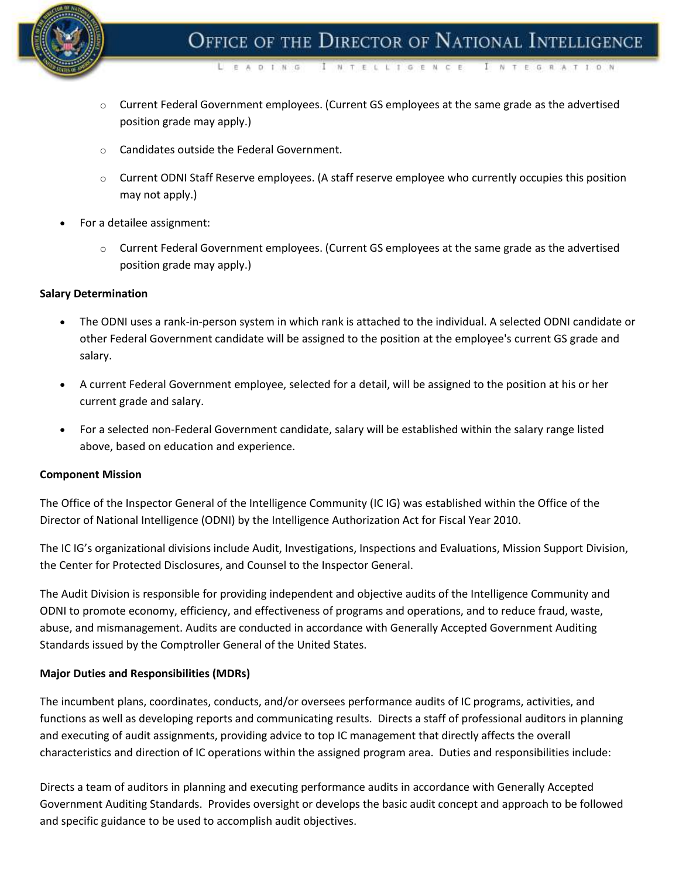

NTELLIGENCE

- $\circ$  Current Federal Government employees. (Current GS employees at the same grade as the advertised position grade may apply.)
- o Candidates outside the Federal Government.

 $D - I$   $N = 0$ 

- $\circ$  Current ODNI Staff Reserve employees. (A staff reserve employee who currently occupies this position may not apply.)
- For a detailee assignment:
	- $\circ$  Current Federal Government employees. (Current GS employees at the same grade as the advertised position grade may apply.)

### **Salary Determination**

- The ODNI uses a rank-in-person system in which rank is attached to the individual. A selected ODNI candidate or other Federal Government candidate will be assigned to the position at the employee's current GS grade and salary.
- A current Federal Government employee, selected for a detail, will be assigned to the position at his or her current grade and salary.
- For a selected non-Federal Government candidate, salary will be established within the salary range listed above, based on education and experience.

#### **Component Mission**

The Office of the Inspector General of the Intelligence Community (IC IG) was established within the Office of the Director of National Intelligence (ODNI) by the Intelligence Authorization Act for Fiscal Year 2010.

The IC IG's organizational divisions include Audit, Investigations, Inspections and Evaluations, Mission Support Division, the Center for Protected Disclosures, and Counsel to the Inspector General.

The Audit Division is responsible for providing independent and objective audits of the Intelligence Community and ODNI to promote economy, efficiency, and effectiveness of programs and operations, and to reduce fraud, waste, abuse, and mismanagement. Audits are conducted in accordance with Generally Accepted Government Auditing Standards issued by the Comptroller General of the United States.

## **Major Duties and Responsibilities (MDRs)**

The incumbent plans, coordinates, conducts, and/or oversees performance audits of IC programs, activities, and functions as well as developing reports and communicating results. Directs a staff of professional auditors in planning and executing of audit assignments, providing advice to top IC management that directly affects the overall characteristics and direction of IC operations within the assigned program area. Duties and responsibilities include:

Directs a team of auditors in planning and executing performance audits in accordance with Generally Accepted Government Auditing Standards. Provides oversight or develops the basic audit concept and approach to be followed and specific guidance to be used to accomplish audit objectives.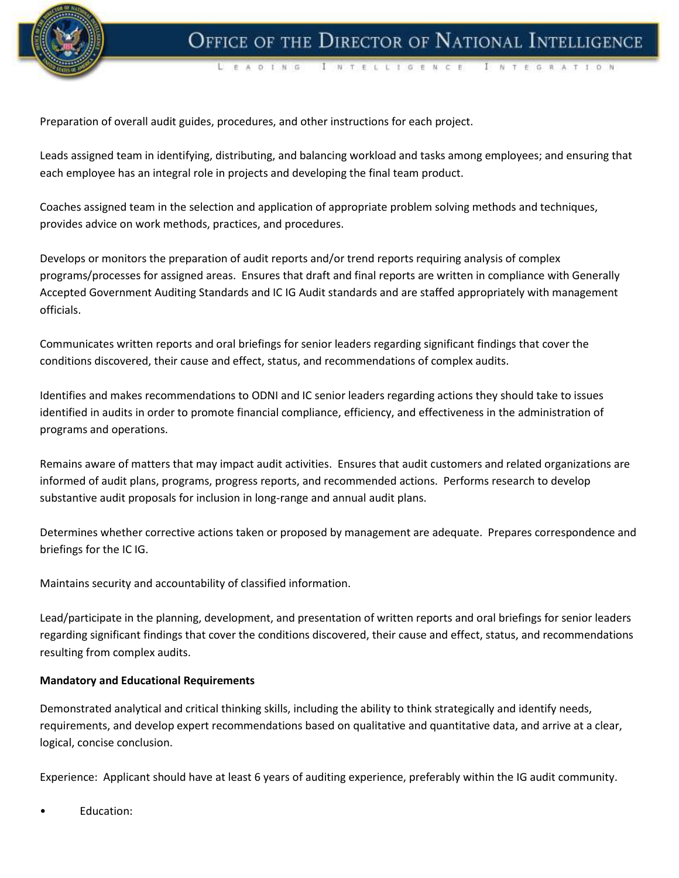

 $A$  D  $I$   $N$   $G$ I NTELLIGENCE I N T E G R A T I O N

Preparation of overall audit guides, procedures, and other instructions for each project.

Leads assigned team in identifying, distributing, and balancing workload and tasks among employees; and ensuring that each employee has an integral role in projects and developing the final team product.

Coaches assigned team in the selection and application of appropriate problem solving methods and techniques, provides advice on work methods, practices, and procedures.

Develops or monitors the preparation of audit reports and/or trend reports requiring analysis of complex programs/processes for assigned areas. Ensures that draft and final reports are written in compliance with Generally Accepted Government Auditing Standards and IC IG Audit standards and are staffed appropriately with management officials.

Communicates written reports and oral briefings for senior leaders regarding significant findings that cover the conditions discovered, their cause and effect, status, and recommendations of complex audits.

Identifies and makes recommendations to ODNI and IC senior leaders regarding actions they should take to issues identified in audits in order to promote financial compliance, efficiency, and effectiveness in the administration of programs and operations.

Remains aware of matters that may impact audit activities. Ensures that audit customers and related organizations are informed of audit plans, programs, progress reports, and recommended actions. Performs research to develop substantive audit proposals for inclusion in long-range and annual audit plans.

Determines whether corrective actions taken or proposed by management are adequate. Prepares correspondence and briefings for the IC IG.

Maintains security and accountability of classified information.

Lead/participate in the planning, development, and presentation of written reports and oral briefings for senior leaders regarding significant findings that cover the conditions discovered, their cause and effect, status, and recommendations resulting from complex audits.

#### **Mandatory and Educational Requirements**

Demonstrated analytical and critical thinking skills, including the ability to think strategically and identify needs, requirements, and develop expert recommendations based on qualitative and quantitative data, and arrive at a clear, logical, concise conclusion.

Experience: Applicant should have at least 6 years of auditing experience, preferably within the IG audit community.

Education: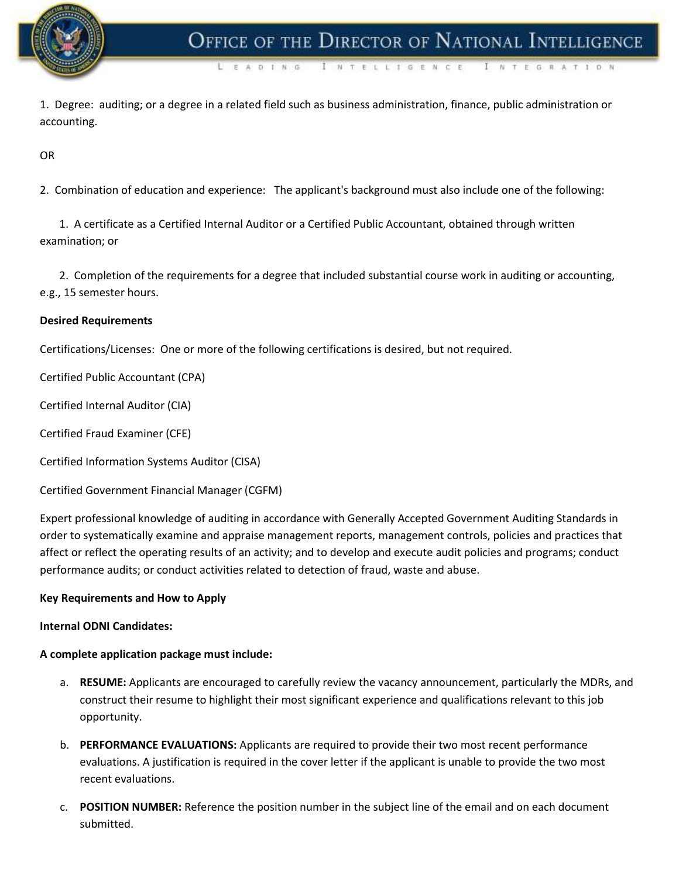

NTELLIGENC

1. Degree: auditing; or a degree in a related field such as business administration, finance, public administration or accounting.

OR

2. Combination of education and experience: The applicant's background must also include one of the following:

 1. A certificate as a Certified Internal Auditor or a Certified Public Accountant, obtained through written examination; or

 2. Completion of the requirements for a degree that included substantial course work in auditing or accounting, e.g., 15 semester hours.

### **Desired Requirements**

Certifications/Licenses: One or more of the following certifications is desired, but not required.

A D. T. N. G.

Certified Public Accountant (CPA)

Certified Internal Auditor (CIA)

Certified Fraud Examiner (CFE)

Certified Information Systems Auditor (CISA)

Certified Government Financial Manager (CGFM)

Expert professional knowledge of auditing in accordance with Generally Accepted Government Auditing Standards in order to systematically examine and appraise management reports, management controls, policies and practices that affect or reflect the operating results of an activity; and to develop and execute audit policies and programs; conduct performance audits; or conduct activities related to detection of fraud, waste and abuse.

#### **Key Requirements and How to Apply**

#### **Internal ODNI Candidates:**

#### **A complete application package must include:**

- a. **RESUME:** Applicants are encouraged to carefully review the vacancy announcement, particularly the MDRs, and construct their resume to highlight their most significant experience and qualifications relevant to this job opportunity.
- b. **PERFORMANCE EVALUATIONS:** Applicants are required to provide their two most recent performance evaluations. A justification is required in the cover letter if the applicant is unable to provide the two most recent evaluations.
- c. **POSITION NUMBER:** Reference the position number in the subject line of the email and on each document submitted.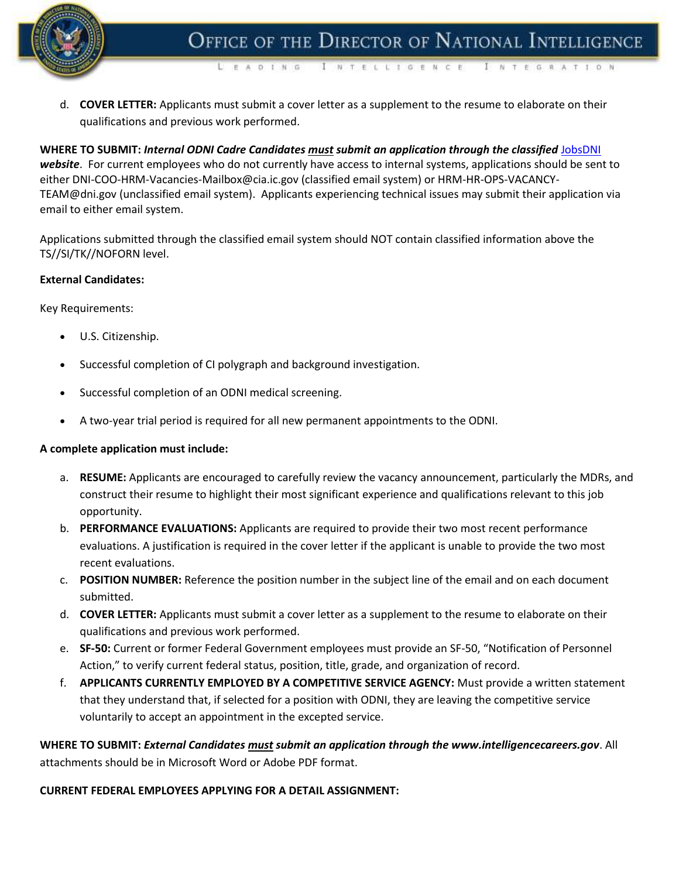

NTELLIGENCE

NTEGRATION

d. **COVER LETTER:** Applicants must submit a cover letter as a supplement to the resume to elaborate on their qualifications and previous work performed.

E A D T N G

**WHERE TO SUBMIT:** *Internal ODNI Cadre Candidates must submit an application through the classified* [JobsDNI](https://jobsdni.web.cia/index.html#/jobs) *website*. For current employees who do not currently have access to internal systems, applications should be sent to either DNI-COO-HRM-Vacancies-Mailbox@cia.ic.gov (classified email system) or HRM-HR-OPS-VACANCY-TEAM@dni.gov (unclassified email system). Applicants experiencing technical issues may submit their application via email to either email system.

Applications submitted through the classified email system should NOT contain classified information above the TS//SI/TK//NOFORN level.

#### **External Candidates:**

Key Requirements:

- U.S. Citizenship.
- Successful completion of CI polygraph and background investigation.
- Successful completion of an ODNI medical screening.
- A two-year trial period is required for all new permanent appointments to the ODNI.

#### **A complete application must include:**

- a. **RESUME:** Applicants are encouraged to carefully review the vacancy announcement, particularly the MDRs, and construct their resume to highlight their most significant experience and qualifications relevant to this job opportunity.
- b. **PERFORMANCE EVALUATIONS:** Applicants are required to provide their two most recent performance evaluations. A justification is required in the cover letter if the applicant is unable to provide the two most recent evaluations.
- c. **POSITION NUMBER:** Reference the position number in the subject line of the email and on each document submitted.
- d. **COVER LETTER:** Applicants must submit a cover letter as a supplement to the resume to elaborate on their qualifications and previous work performed.
- e. **SF-50:** Current or former Federal Government employees must provide an SF-50, "Notification of Personnel Action," to verify current federal status, position, title, grade, and organization of record.
- f. **APPLICANTS CURRENTLY EMPLOYED BY A COMPETITIVE SERVICE AGENCY:** Must provide a written statement that they understand that, if selected for a position with ODNI, they are leaving the competitive service voluntarily to accept an appointment in the excepted service.

**WHERE TO SUBMIT:** *External Candidates must submit an application through the www.intelligencecareers.gov*. All attachments should be in Microsoft Word or Adobe PDF format.

#### **CURRENT FEDERAL EMPLOYEES APPLYING FOR A DETAIL ASSIGNMENT:**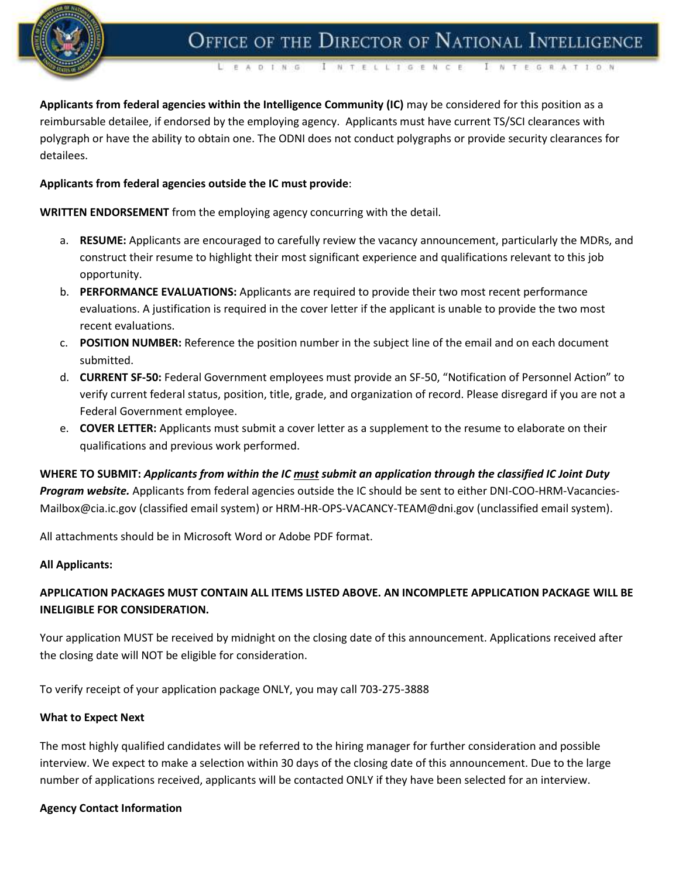

OFFICE OF THE DIRECTOR OF NATIONAL INTELLIGENCE

I N T E L L I G E N C E E A D T N G NTEGRATION

**Applicants from federal agencies within the Intelligence Community (IC)** may be considered for this position as a reimbursable detailee, if endorsed by the employing agency. Applicants must have current TS/SCI clearances with polygraph or have the ability to obtain one. The ODNI does not conduct polygraphs or provide security clearances for detailees.

## **Applicants from federal agencies outside the IC must provide**:

**WRITTEN ENDORSEMENT** from the employing agency concurring with the detail.

- a. **RESUME:** Applicants are encouraged to carefully review the vacancy announcement, particularly the MDRs, and construct their resume to highlight their most significant experience and qualifications relevant to this job opportunity.
- b. **PERFORMANCE EVALUATIONS:** Applicants are required to provide their two most recent performance evaluations. A justification is required in the cover letter if the applicant is unable to provide the two most recent evaluations.
- c. **POSITION NUMBER:** Reference the position number in the subject line of the email and on each document submitted.
- d. **CURRENT SF-50:** Federal Government employees must provide an SF-50, "Notification of Personnel Action" to verify current federal status, position, title, grade, and organization of record. Please disregard if you are not a Federal Government employee.
- e. **COVER LETTER:** Applicants must submit a cover letter as a supplement to the resume to elaborate on their qualifications and previous work performed.

**WHERE TO SUBMIT:** *Applicants from within the IC must submit an application through the classified IC Joint Duty Program website.* Applicants from federal agencies outside the IC should be sent to either DNI-COO-HRM-Vacancies-Mailbox@cia.ic.gov (classified email system) or HRM-HR-OPS-VACANCY-TEAM@dni.gov (unclassified email system).

All attachments should be in Microsoft Word or Adobe PDF format.

#### **All Applicants:**

# **APPLICATION PACKAGES MUST CONTAIN ALL ITEMS LISTED ABOVE. AN INCOMPLETE APPLICATION PACKAGE WILL BE INELIGIBLE FOR CONSIDERATION.**

Your application MUST be received by midnight on the closing date of this announcement. Applications received after the closing date will NOT be eligible for consideration.

To verify receipt of your application package ONLY, you may call 703-275-3888

#### **What to Expect Next**

The most highly qualified candidates will be referred to the hiring manager for further consideration and possible interview. We expect to make a selection within 30 days of the closing date of this announcement. Due to the large number of applications received, applicants will be contacted ONLY if they have been selected for an interview.

#### **Agency Contact Information**